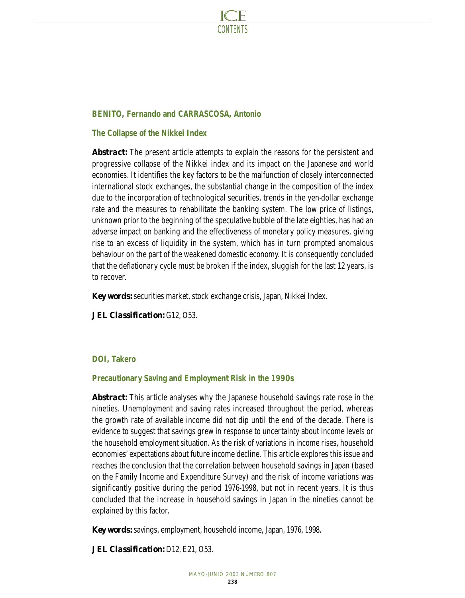

# **BENITO, Fernando and CARRASCOSA, Antonio**

# **The Collapse of the Nikkei Index**

*Abstract:* The present article attempts to explain the reasons for the persistent and progressive collapse of the Nikkei index and its impact on the Japanese and world economies. It identifies the key factors to be the malfunction of closely interconnected international stock exchanges, the substantial change in the composition of the index due to the incorporation of technological securities, trends in the yen-dollar exchange rate and the measures to rehabilitate the banking system. The low price of listings, unknown prior to the beginning of the speculative bubble of the late eighties, has had an adverse impact on banking and the effectiveness of monetary policy measures, giving rise to an excess of liquidity in the system, which has in turn prompted anomalous behaviour on the part of the weakened domestic economy. It is consequently concluded that the deflationary cycle must be broken if the index, sluggish for the last 12 years, is to recover.

*Key words:* securities market, stock exchange crisis, Japan, Nikkei Index.

*JEL Classification:* G12, O53.

# **DOI, Takero**

# **Precautionary Saving and Employment Risk in the 1990s**

*Abstract:* This article analyses why the Japanese household savings rate rose in the nineties. Unemployment and saving rates increased throughout the period, whereas the growth rate of available income did not dip until the end of the decade. There is evidence to suggest that savings grew in response to uncertainty about income levels or the household employment situation. As the risk of variations in income rises, household economies' expectations about future income decline. This article explores this issue and reaches the conclusion that the correlation between household savings in Japan (based on the Family Income and Expenditure Survey) and the risk of income variations was significantly positive during the period 1976-1998, but not in recent years. It is thus concluded that the increase in household savings in Japan in the nineties cannot be explained by this factor.

*Key words:* savings, employment, household income, Japan, 1976, 1998.

*JEL Classification:* D12, E21, O53.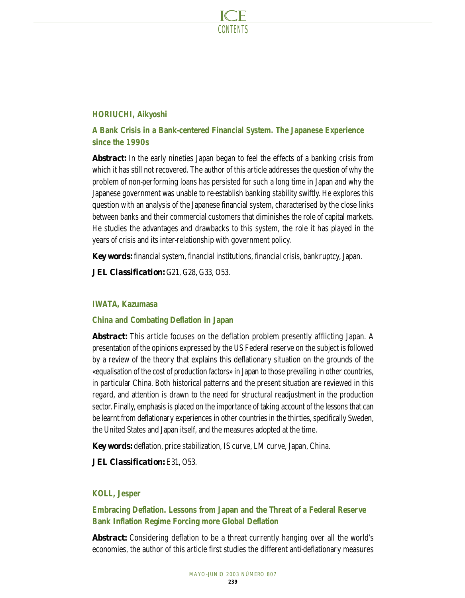

# **HORIUCHI, Aikyoshi**

# **A Bank Crisis in a Bank-centered Financial System. The Japanese Experience since the 1990s**

*Abstract:* In the early nineties Japan began to feel the effects of a banking crisis from which it has still not recovered. The author of this article addresses the question of why the problem of non-performing loans has persisted for such a long time in Japan and why the Japanese government was unable to re-establish banking stability swiftly. He explores this question with an analysis of the Japanese financial system, characterised by the close links between banks and their commercial customers that diminishes the role of capital markets. He studies the advantages and drawbacks to this system, the role it has played in the years of crisis and its inter-relationship with government policy.

*Key words:* financial system, financial institutions, financial crisis, bankruptcy, Japan.

*JEL Classification:* G21, G28, G33, O53.

# **IWATA, Kazumasa**

# **China and Combating Deflation in Japan**

*Abstract:* This article focuses on the deflation problem presently afflicting Japan. A presentation of the opinions expressed by the US Federal reserve on the subject is followed by a review of the theory that explains this deflationary situation on the grounds of the «equalisation of the cost of production factors» in Japan to those prevailing in other countries, in particular China. Both historical patterns and the present situation are reviewed in this regard, and attention is drawn to the need for structural readjustment in the production sector. Finally, emphasis is placed on the importance of taking account of the lessons that can be learnt from deflationary experiences in other countries in the thirties, specifically Sweden, the United States and Japan itself, and the measures adopted at the time.

*Key words:* deflation, price stabilization, IS curve, LM curve, Japan, China.

*JEL Classification:* E31, O53.

# **KOLL, Jesper**

# **Embracing Deflation. Lessons from Japan and the Threat of a Federal Reserve Bank Inflation Regime Forcing more Global Deflation**

*Abstract:* Considering deflation to be a threat currently hanging over all the world's economies, the author of this article first studies the different anti-deflationary measures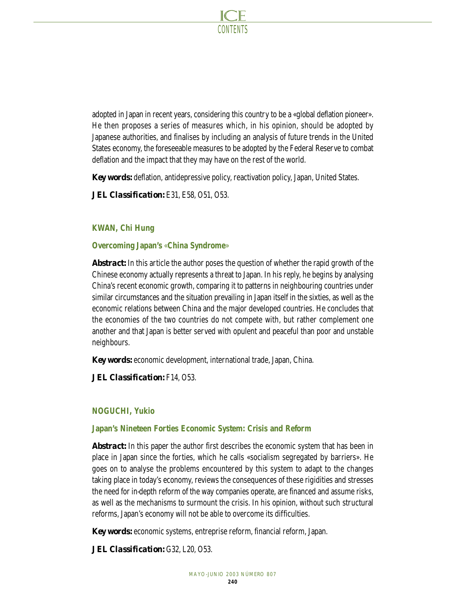

adopted in Japan in recent years, considering this country to be a «global deflation pioneer». He then proposes a series of measures which, in his opinion, should be adopted by Japanese authorities, and finalises by including an analysis of future trends in the United States economy, the foreseeable measures to be adopted by the Federal Reserve to combat deflation and the impact that they may have on the rest of the world.

*Key words:* deflation, antidepressive policy, reactivation policy, Japan, United States.

*JEL Classification:* E31, E58, O51, O53.

# **KWAN, Chi Hung**

# **Overcoming Japan's** «**China Syndrome**»

*Abstract:* In this article the author poses the question of whether the rapid growth of the Chinese economy actually represents a threat to Japan. In his reply, he begins by analysing China's recent economic growth, comparing it to patterns in neighbouring countries under similar circumstances and the situation prevailing in Japan itself in the sixties, as well as the economic relations between China and the major developed countries. He concludes that the economies of the two countries do not compete with, but rather complement one another and that Japan is better served with opulent and peaceful than poor and unstable neighbours.

*Key words:* economic development, international trade, Japan, China.

*JEL Classification:* F14, O53.

# **NOGUCHI, Yukio**

# **Japan's Nineteen Forties Economic System: Crisis and Reform**

*Abstract:* In this paper the author first describes the economic system that has been in place in Japan since the forties, which he calls «socialism segregated by barriers». He goes on to analyse the problems encountered by this system to adapt to the changes taking place in today's economy, reviews the consequences of these rigidities and stresses the need for in-depth reform of the way companies operate, are financed and assume risks, as well as the mechanisms to surmount the crisis. In his opinion, without such structural reforms, Japan's economy will not be able to overcome its difficulties.

*Key words:* economic systems, entreprise reform, financial reform, Japan.

*JEL Classification:* G32, L20, O53.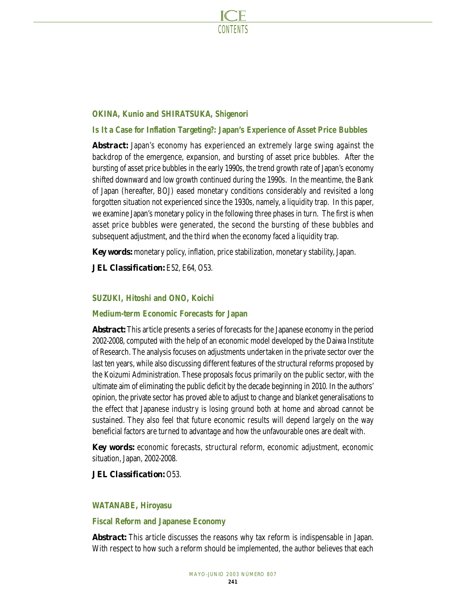

# **OKINA, Kunio and SHIRATSUKA, Shigenori**

# **Is It a Case for Inflation Targeting?: Japan's Experience of Asset Price Bubbles**

*Abstract:* Japan's economy has experienced an extremely large swing against the backdrop of the emergence, expansion, and bursting of asset price bubbles. After the bursting of asset price bubbles in the early 1990s, the trend growth rate of Japan's economy shifted downward and low growth continued during the 1990s. In the meantime, the Bank of Japan (hereafter, BOJ) eased monetary conditions considerably and revisited a long forgotten situation not experienced since the 1930s, namely, a liquidity trap. In this paper, we examine Japan's monetary policy in the following three phases in turn. The first is when asset price bubbles were generated, the second the bursting of these bubbles and subsequent adjustment, and the third when the economy faced a liquidity trap.

*Key words:* monetary policy, inflation, price stabilization, monetary stability, Japan.

*JEL Classification:* E52, E64, O53.

# **SUZUKI, Hitoshi and ONO, Koichi**

# **Medium-term Economic Forecasts for Japan**

*Abstract:* This article presents a series of forecasts for the Japanese economy in the period 2002-2008, computed with the help of an economic model developed by the Daiwa Institute of Research. The analysis focuses on adjustments undertaken in the private sector over the last ten years, while also discussing different features of the structural reforms proposed by the Koizumi Administration. These proposals focus primarily on the public sector, with the ultimate aim of eliminating the public deficit by the decade beginning in 2010. In the authors' opinion, the private sector has proved able to adjust to change and blanket generalisations to the effect that Japanese industry is losing ground both at home and abroad cannot be sustained. They also feel that future economic results will depend largely on the way beneficial factors are turned to advantage and how the unfavourable ones are dealt with.

*Key words:* economic forecasts, structural reform, economic adjustment, economic situation, Japan, 2002-2008.

*JEL Classification:* O53.

# **WATANABE, Hiroyasu**

# **Fiscal Reform and Japanese Economy**

*Abstract:* This article discusses the reasons why tax reform is indispensable in Japan. With respect to how such a reform should be implemented, the author believes that each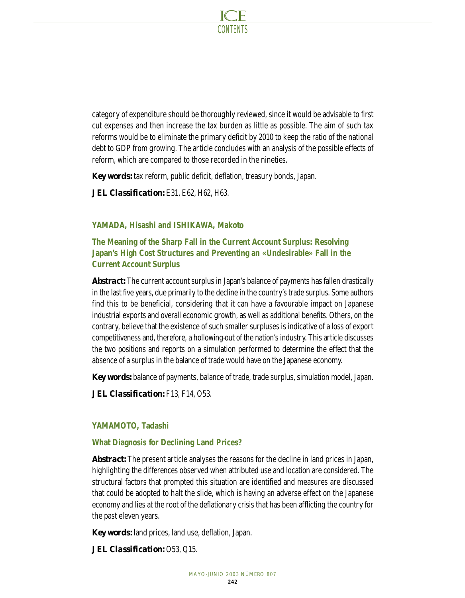

category of expenditure should be thoroughly reviewed, since it would be advisable to first cut expenses and then increase the tax burden as little as possible. The aim of such tax reforms would be to eliminate the primary deficit by 2010 to keep the ratio of the national debt to GDP from growing. The article concludes with an analysis of the possible effects of reform, which are compared to those recorded in the nineties.

*Key words:* tax reform, public deficit, deflation, treasury bonds, Japan.

*JEL Classification:* E31, E62, H62, H63.

# **YAMADA, Hisashi and ISHIKAWA, Makoto**

**The Meaning of the Sharp Fall in the Current Account Surplus: Resolving Japan's High Cost Structures and Preventing an «Undesirable» Fall in the Current Account Surplus**

*Abstract:* The current account surplus in Japan's balance of payments has fallen drastically in the last five years, due primarily to the decline in the country's trade surplus. Some authors find this to be beneficial, considering that it can have a favourable impact on Japanese industrial exports and overall economic growth, as well as additional benefits. Others, on the contrary, believe that the existence of such smaller surpluses is indicative of a loss of export competitiveness and, therefore, a hollowing-out of the nation's industry. This article discusses the two positions and reports on a simulation performed to determine the effect that the absence of a surplus in the balance of trade would have on the Japanese economy.

*Key words:* balance of payments, balance of trade, trade surplus, simulation model, Japan.

*JEL Classification:* F13, F14, O53.

# **YAMAMOTO, Tadashi**

#### **What Diagnosis for Declining Land Prices?**

*Abstract:* The present article analyses the reasons for the decline in land prices in Japan, highlighting the differences observed when attributed use and location are considered. The structural factors that prompted this situation are identified and measures are discussed that could be adopted to halt the slide, which is having an adverse effect on the Japanese economy and lies at the root of the deflationary crisis that has been afflicting the country for the past eleven years.

*Key words:* land prices, land use, deflation, Japan.

*JEL Classification:* O53, Q15.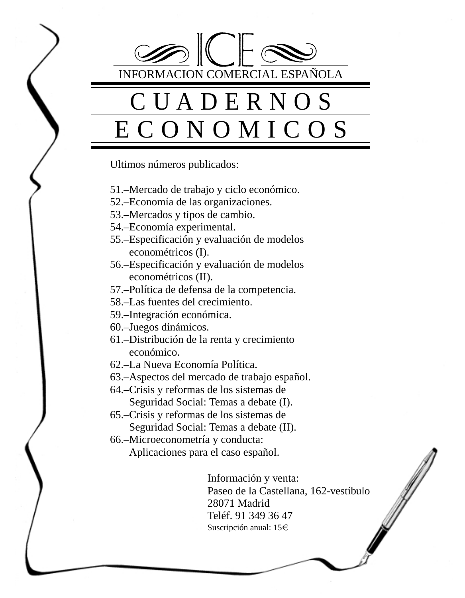$\mathbb{I}$   $\mathbb{I}$   $\mathbb{I}$   $\mathbb{I}$   $\mathbb{I}$   $\mathbb{I}$ INFORMACION COMERCIAL ESPAÑOLA CUADERNOS ECONOMICOS Ultimos números publicados: 51.–Mercado de trabajo y ciclo económico. 52.–Economía de las organizaciones. 53.–Mercados y tipos de cambio. 54.–Economía experimental. 55.–Especificación y evaluación de modelos econométricos (I). 56.–Especificación y evaluación de modelos econométricos (II). 57.–Política de defensa de la competencia. 58.–Las fuentes del crecimiento. 59.–Integración económica. 60.–Juegos dinámicos. 61.–Distribución de la renta y crecimiento económico. 62.–La Nueva Economía Política. 63.–Aspectos del mercado de trabajo español. 64.–Crisis y reformas de los sistemas de Seguridad Social: Temas a debate (I). 65.–Crisis y reformas de los sistemas de Seguridad Social: Temas a debate (II). 66.–Microeconometría y conducta: Aplicaciones para el caso español. Información y venta: Paseo de la Castellana, 162-vestíbulo 28071 Madrid Teléf. 91 349 36 47 Suscripción anual:  $15 \in$